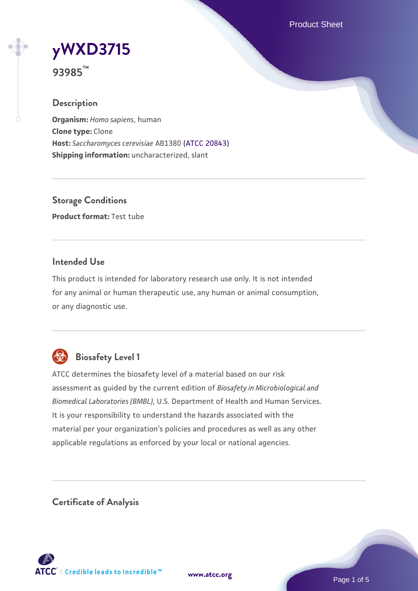Product Sheet

# **[yWXD3715](https://www.atcc.org/products/93985)**

**93985™**

## **Description**

**Organism:** *Homo sapiens*, human **Clone type:** Clone **Host:** *Saccharomyces cerevisiae* AB1380 [\(ATCC 20843\)](https://www.atcc.org/products/20843) **Shipping information:** uncharacterized, slant

**Storage Conditions Product format:** Test tube

## **Intended Use**

This product is intended for laboratory research use only. It is not intended for any animal or human therapeutic use, any human or animal consumption, or any diagnostic use.



# **Biosafety Level 1**

ATCC determines the biosafety level of a material based on our risk assessment as guided by the current edition of *Biosafety in Microbiological and Biomedical Laboratories (BMBL)*, U.S. Department of Health and Human Services. It is your responsibility to understand the hazards associated with the material per your organization's policies and procedures as well as any other applicable regulations as enforced by your local or national agencies.

**Certificate of Analysis**

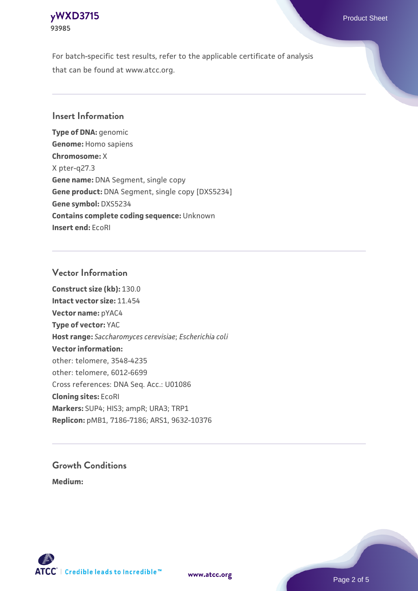## **[yWXD3715](https://www.atcc.org/products/93985)** Product Sheet **93985**

For batch-specific test results, refer to the applicable certificate of analysis that can be found at www.atcc.org.

## **Insert Information**

**Type of DNA:** genomic **Genome:** Homo sapiens **Chromosome:** X X pter-q27.3 **Gene name:** DNA Segment, single copy **Gene product:** DNA Segment, single copy [DXS5234] **Gene symbol:** DXS5234 **Contains complete coding sequence:** Unknown **Insert end:** EcoRI

## **Vector Information**

**Construct size (kb):** 130.0 **Intact vector size:** 11.454 **Vector name:** pYAC4 **Type of vector:** YAC **Host range:** *Saccharomyces cerevisiae*; *Escherichia coli* **Vector information:** other: telomere, 3548-4235 other: telomere, 6012-6699 Cross references: DNA Seq. Acc.: U01086 **Cloning sites:** EcoRI **Markers:** SUP4; HIS3; ampR; URA3; TRP1 **Replicon:** pMB1, 7186-7186; ARS1, 9632-10376

# **Growth Conditions**

**Medium:** 



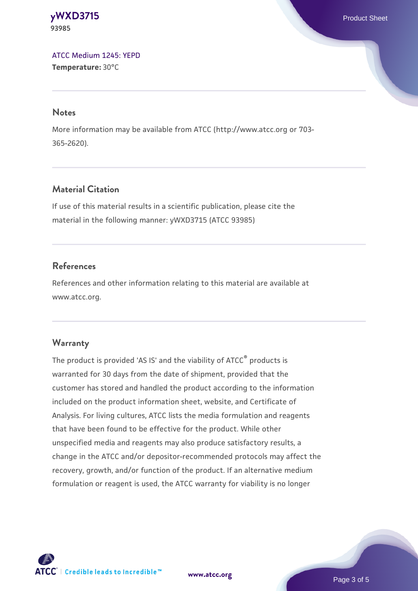#### **[yWXD3715](https://www.atcc.org/products/93985)** Product Sheet **93985**

[ATCC Medium 1245: YEPD](https://www.atcc.org/-/media/product-assets/documents/microbial-media-formulations/1/2/4/5/atcc-medium-1245.pdf?rev=705ca55d1b6f490a808a965d5c072196) **Temperature:** 30°C

#### **Notes**

More information may be available from ATCC (http://www.atcc.org or 703- 365-2620).

## **Material Citation**

If use of this material results in a scientific publication, please cite the material in the following manner: yWXD3715 (ATCC 93985)

## **References**

References and other information relating to this material are available at www.atcc.org.

## **Warranty**

The product is provided 'AS IS' and the viability of ATCC® products is warranted for 30 days from the date of shipment, provided that the customer has stored and handled the product according to the information included on the product information sheet, website, and Certificate of Analysis. For living cultures, ATCC lists the media formulation and reagents that have been found to be effective for the product. While other unspecified media and reagents may also produce satisfactory results, a change in the ATCC and/or depositor-recommended protocols may affect the recovery, growth, and/or function of the product. If an alternative medium formulation or reagent is used, the ATCC warranty for viability is no longer



**[www.atcc.org](http://www.atcc.org)**

Page 3 of 5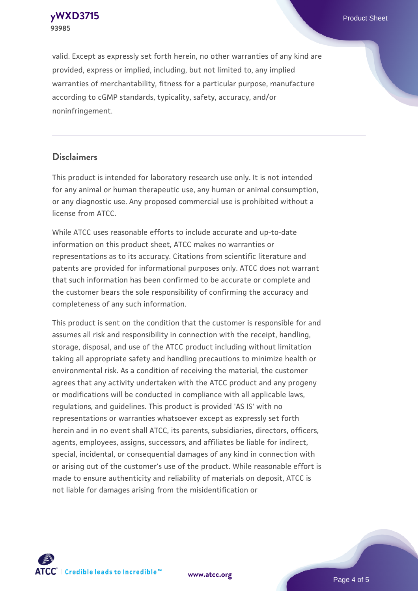**[yWXD3715](https://www.atcc.org/products/93985)** Product Sheet **93985**

valid. Except as expressly set forth herein, no other warranties of any kind are provided, express or implied, including, but not limited to, any implied warranties of merchantability, fitness for a particular purpose, manufacture according to cGMP standards, typicality, safety, accuracy, and/or noninfringement.

#### **Disclaimers**

This product is intended for laboratory research use only. It is not intended for any animal or human therapeutic use, any human or animal consumption, or any diagnostic use. Any proposed commercial use is prohibited without a license from ATCC.

While ATCC uses reasonable efforts to include accurate and up-to-date information on this product sheet, ATCC makes no warranties or representations as to its accuracy. Citations from scientific literature and patents are provided for informational purposes only. ATCC does not warrant that such information has been confirmed to be accurate or complete and the customer bears the sole responsibility of confirming the accuracy and completeness of any such information.

This product is sent on the condition that the customer is responsible for and assumes all risk and responsibility in connection with the receipt, handling, storage, disposal, and use of the ATCC product including without limitation taking all appropriate safety and handling precautions to minimize health or environmental risk. As a condition of receiving the material, the customer agrees that any activity undertaken with the ATCC product and any progeny or modifications will be conducted in compliance with all applicable laws, regulations, and guidelines. This product is provided 'AS IS' with no representations or warranties whatsoever except as expressly set forth herein and in no event shall ATCC, its parents, subsidiaries, directors, officers, agents, employees, assigns, successors, and affiliates be liable for indirect, special, incidental, or consequential damages of any kind in connection with or arising out of the customer's use of the product. While reasonable effort is made to ensure authenticity and reliability of materials on deposit, ATCC is not liable for damages arising from the misidentification or



**[www.atcc.org](http://www.atcc.org)**

Page 4 of 5